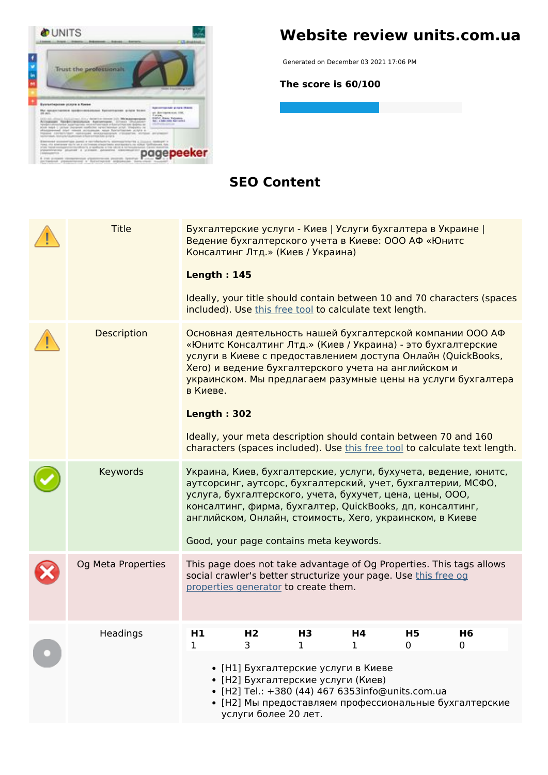

## **Website review units.com.ua**

Generated on December 03 2021 17:06 PM

**The score is 60/100**

#### **SEO Content**

| <b>Title</b> |                    |                    | Бухгалтерские услуги - Киев   Услуги бухгалтера в Украине  <br>Ведение бухгалтерского учета в Киеве: ООО АФ «Юнитс<br>Консалтинг Лтд.» (Киев / Украина)                                                                                                                                      |         |         |                |                                                                                                                                                                                           |  |
|--------------|--------------------|--------------------|----------------------------------------------------------------------------------------------------------------------------------------------------------------------------------------------------------------------------------------------------------------------------------------------|---------|---------|----------------|-------------------------------------------------------------------------------------------------------------------------------------------------------------------------------------------|--|
|              |                    | <b>Length: 145</b> |                                                                                                                                                                                                                                                                                              |         |         |                |                                                                                                                                                                                           |  |
|              |                    |                    | included). Use this free tool to calculate text length.                                                                                                                                                                                                                                      |         |         |                | Ideally, your title should contain between 10 and 70 characters (spaces                                                                                                                   |  |
|              | Description        | в Киеве.           | «Юнитс Консалтинг Лтд.» (Киев / Украина) - это бухгалтерские<br>Хего) и ведение бухгалтерского учета на английском и                                                                                                                                                                         |         |         |                | Основная деятельность нашей бухгалтерской компании ООО АФ<br>услуги в Киеве с предоставлением доступа Онлайн (QuickBooks,<br>украинском. Мы предлагаем разумные цены на услуги бухгалтера |  |
|              |                    | <b>Length: 302</b> |                                                                                                                                                                                                                                                                                              |         |         |                |                                                                                                                                                                                           |  |
|              |                    |                    | Ideally, your meta description should contain between 70 and 160                                                                                                                                                                                                                             |         |         |                | characters (spaces included). Use this free tool to calculate text length.                                                                                                                |  |
|              | Keywords           |                    | аутсорсинг, аутсорс, бухгалтерский, учет, бухгалтерии, МСФО,<br>услуга, бухгалтерского, учета, бухучет, цена, цены, ООО,<br>консалтинг, фирма, бухгалтер, QuickBooks, дп, консалтинг,<br>английском, Онлайн, стоимость, Хего, украинском, в Киеве<br>Good, your page contains meta keywords. |         |         |                | Украина, Киев, бухгалтерские, услуги, бухучета, ведение, юнитс,                                                                                                                           |  |
|              | Og Meta Properties |                    | social crawler's better structurize your page. Use this free og<br>properties generator to create them.                                                                                                                                                                                      |         |         |                | This page does not take advantage of Og Properties. This tags allows                                                                                                                      |  |
|              | <b>Headings</b>    | H1<br>1            | H <sub>2</sub><br>3                                                                                                                                                                                                                                                                          | H3<br>1 | H4<br>1 | H5<br>$\Omega$ | H6<br>0                                                                                                                                                                                   |  |
|              |                    |                    | • [Н1] Бухгалтерские услуги в Киеве<br>• [Н2] Бухгалтерские услуги (Киев)<br>· [H2] Tel.: +380 (44) 467 6353info@units.com.ua<br>услуги более 20 лет.                                                                                                                                        |         |         |                | • [Н2] Мы предоставляем профессиональные бухгалтерские                                                                                                                                    |  |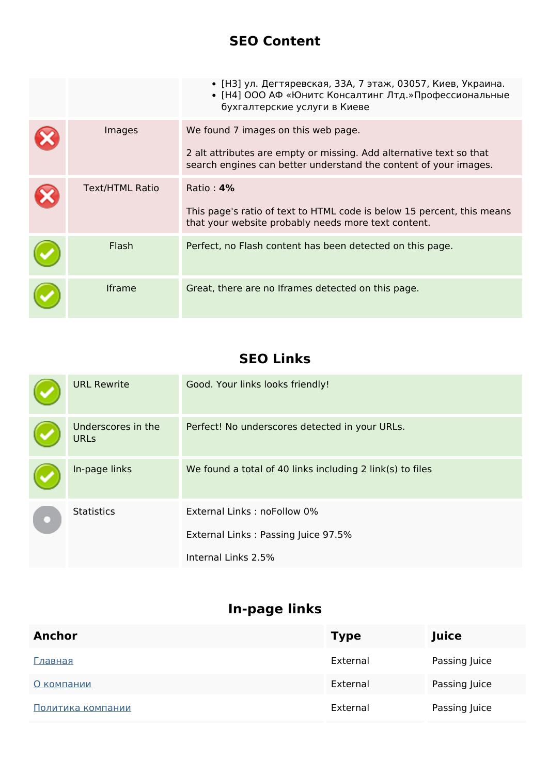### **SEO Content**

|                        | • [НЗ] ул. Дегтяревская, ЗЗА, 7 этаж, 03057, Киев, Украина.<br>• [Н4] ООО АФ «Юнитс Консалтинг Лтд.»Профессиональные<br>бухгалтерские услуги в Киеве                           |
|------------------------|--------------------------------------------------------------------------------------------------------------------------------------------------------------------------------|
| Images                 | We found 7 images on this web page.<br>2 alt attributes are empty or missing. Add alternative text so that<br>search engines can better understand the content of your images. |
| <b>Text/HTML Ratio</b> | Ratio: $4\%$<br>This page's ratio of text to HTML code is below 15 percent, this means<br>that your website probably needs more text content.                                  |
| Flash                  | Perfect, no Flash content has been detected on this page.                                                                                                                      |
| <b>Iframe</b>          | Great, there are no Iframes detected on this page.                                                                                                                             |

## **SEO Links**

|  | <b>URL Rewrite</b>                | Good. Your links looks friendly!                          |
|--|-----------------------------------|-----------------------------------------------------------|
|  | Underscores in the<br><b>URLs</b> | Perfect! No underscores detected in your URLs.            |
|  | In-page links                     | We found a total of 40 links including 2 link(s) to files |
|  | <b>Statistics</b>                 | External Links: noFollow 0%                               |
|  |                                   | External Links: Passing Juice 97.5%                       |
|  |                                   | Internal Links 2.5%                                       |

# **In-page links**

| <b>Anchor</b>     | <b>Type</b> | Juice         |
|-------------------|-------------|---------------|
| Главная           | External    | Passing Juice |
| О компании        | External    | Passing Juice |
| Политика компании | External    | Passing Juice |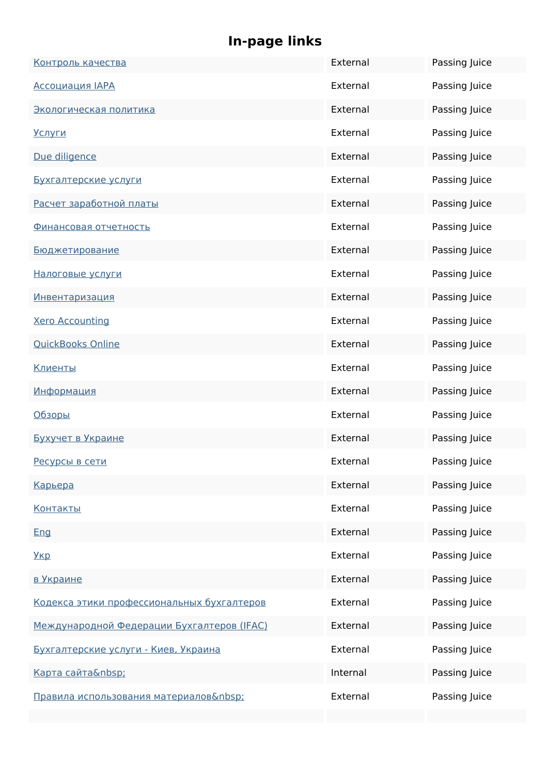# **In-page links**

| Контроль качества                                  | External | Passing Juice |
|----------------------------------------------------|----------|---------------|
| <b>Ассоциация IAPA</b>                             | External | Passing Juice |
| Экологическая политика                             | External | Passing Juice |
| <u>Услуги</u>                                      | External | Passing Juice |
| Due diligence                                      | External | Passing Juice |
| Бухгалтерские услуги                               | External | Passing Juice |
| Расчет заработной платы                            | External | Passing Juice |
| <u>Финансовая отчетность</u>                       | External | Passing Juice |
| <u>Бюджетирование</u>                              | External | Passing Juice |
| Налоговые услуги                                   | External | Passing Juice |
| <u>Инвентаризация</u>                              | External | Passing Juice |
| <b>Xero Accounting</b>                             | External | Passing Juice |
| <b>QuickBooks Online</b>                           | External | Passing Juice |
| <u>Клиенты</u>                                     | External | Passing Juice |
| Информация                                         | External | Passing Juice |
| Обзоры                                             | External | Passing Juice |
| Бухучет в Украине                                  | External | Passing Juice |
| Ресурсы в сети                                     | External | Passing Juice |
| Карьера                                            | External | Passing Juice |
| <u>Контакты</u>                                    | External | Passing Juice |
| Eng                                                | External | Passing Juice |
| <u>Укр</u>                                         | External | Passing Juice |
| в Украине                                          | External | Passing Juice |
| Кодекса этики профессиональных бухгалтеров         | External | Passing Juice |
| <u> Международной Федерации Бухгалтеров (IFAC)</u> | External | Passing Juice |
| Бухгалтерские услуги - Киев, Украина               | External | Passing Juice |
| Карта сайта                                        | Internal | Passing Juice |
| Правила использования материалов :                 | External | Passing Juice |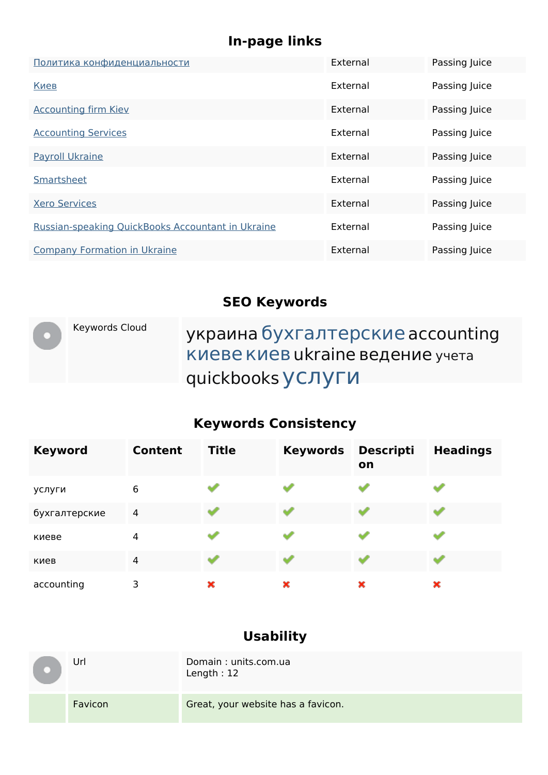## **In-page links**

| Политика конфиденциальности                       | External | Passing Juice |
|---------------------------------------------------|----------|---------------|
| Киев                                              | External | Passing Juice |
| <b>Accounting firm Kiev</b>                       | External | Passing Juice |
| <b>Accounting Services</b>                        | External | Passing Juice |
| <b>Payroll Ukraine</b>                            | External | Passing Juice |
| Smartsheet                                        | External | Passing Juice |
| <b>Xero Services</b>                              | External | Passing Juice |
| Russian-speaking QuickBooks Accountant in Ukraine | External | Passing Juice |
| <b>Company Formation in Ukraine</b>               | External | Passing Juice |

## **SEO Keywords**

| Keywords Cloud | украина бухгалтерские accounting<br><b>КИЕВЕ КИЕВ и испоре ведение</b> учета<br>quickbooks УСЛУГИ |
|----------------|---------------------------------------------------------------------------------------------------|
|                |                                                                                                   |

## **Keywords Consistency**

| <b>Keyword</b> | <b>Content</b> | <b>Title</b> | <b>Keywords</b> | <b>Descripti</b><br>on | <b>Headings</b> |
|----------------|----------------|--------------|-----------------|------------------------|-----------------|
| услуги         | 6              |              |                 |                        |                 |
| бухгалтерские  | 4              |              |                 |                        |                 |
| киеве          | 4              |              |                 |                        |                 |
| киев           | $\overline{4}$ |              |                 |                        |                 |
| accounting     | 3              | ×            | ×               | ×                      | ×               |

## **Usability**

| Url     | Domain: units.com.ua<br>Length: $12$ |
|---------|--------------------------------------|
| Favicon | Great, your website has a favicon.   |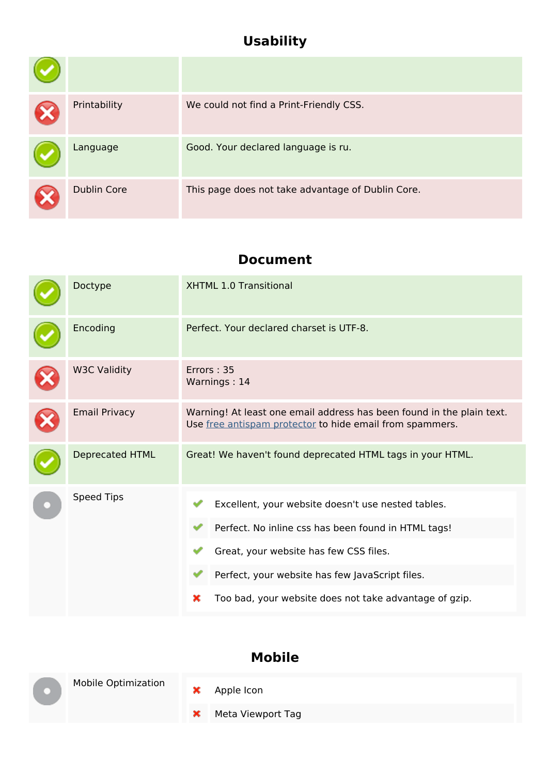## **Usability**

| Printability       | We could not find a Print-Friendly CSS.           |
|--------------------|---------------------------------------------------|
| Language           | Good. Your declared language is ru.               |
| <b>Dublin Core</b> | This page does not take advantage of Dublin Core. |

#### **Document**

| Doctype                | XHTML 1.0 Transitional                                                                                                                                                                                                                                                |  |  |
|------------------------|-----------------------------------------------------------------------------------------------------------------------------------------------------------------------------------------------------------------------------------------------------------------------|--|--|
| Encoding               | Perfect. Your declared charset is UTF-8.                                                                                                                                                                                                                              |  |  |
| <b>W3C Validity</b>    | Errors: 35<br>Warnings: 14                                                                                                                                                                                                                                            |  |  |
| <b>Email Privacy</b>   | Warning! At least one email address has been found in the plain text.<br>Use free antispam protector to hide email from spammers.                                                                                                                                     |  |  |
| <b>Deprecated HTML</b> | Great! We haven't found deprecated HTML tags in your HTML.                                                                                                                                                                                                            |  |  |
| <b>Speed Tips</b>      | Excellent, your website doesn't use nested tables.<br>Perfect. No inline css has been found in HTML tags!<br>Great, your website has few CSS files.<br>Perfect, your website has few JavaScript files.<br>Too bad, your website does not take advantage of gzip.<br>× |  |  |

### **Mobile**

| <b>Mobile Optimization</b> |   | $\frac{\cancel{x}}{\cancel{x}}$ Apple Icon |
|----------------------------|---|--------------------------------------------|
|                            | × | Meta Viewport Tag                          |